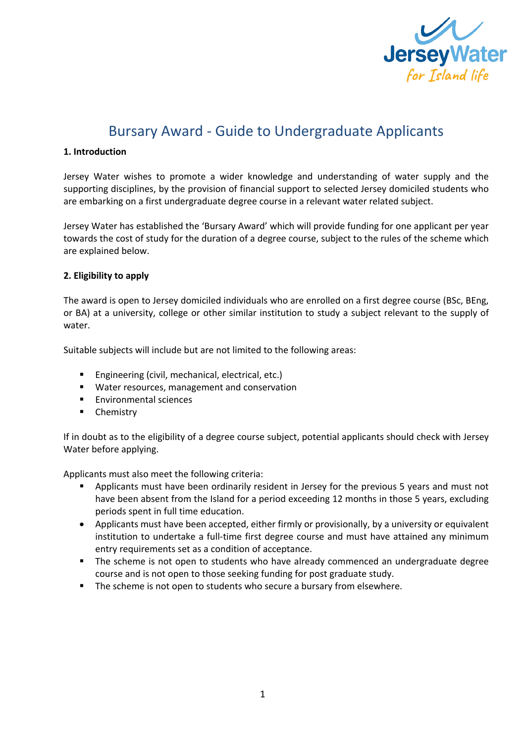

# Bursary Award - Guide to Undergraduate Applicants

#### **1. Introduction**

Jersey Water wishes to promote a wider knowledge and understanding of water supply and the supporting disciplines, by the provision of financial support to selected Jersey domiciled students who are embarking on a first undergraduate degree course in a relevant water related subject.

Jersey Water has established the 'Bursary Award' which will provide funding for one applicant per year towards the cost of study for the duration of a degree course, subject to the rules of the scheme which are explained below.

#### **2. Eligibility to apply**

The award is open to Jersey domiciled individuals who are enrolled on a first degree course (BSc, BEng, or BA) at a university, college or other similar institution to study a subject relevant to the supply of water.

Suitable subjects will include but are not limited to the following areas:

- Engineering (civil, mechanical, electrical, etc.)
- Water resources, management and conservation
- Environmental sciences
- Chemistry

If in doubt as to the eligibility of a degree course subject, potential applicants should check with Jersey Water before applying.

Applicants must also meet the following criteria:

- § Applicants must have been ordinarily resident in Jersey for the previous 5 years and must not have been absent from the Island for a period exceeding 12 months in those 5 years, excluding periods spent in full time education.
- Applicants must have been accepted, either firmly or provisionally, by a university or equivalent institution to undertake a full-time first degree course and must have attained any minimum entry requirements set as a condition of acceptance.
- The scheme is not open to students who have already commenced an undergraduate degree course and is not open to those seeking funding for post graduate study.
- The scheme is not open to students who secure a bursary from elsewhere.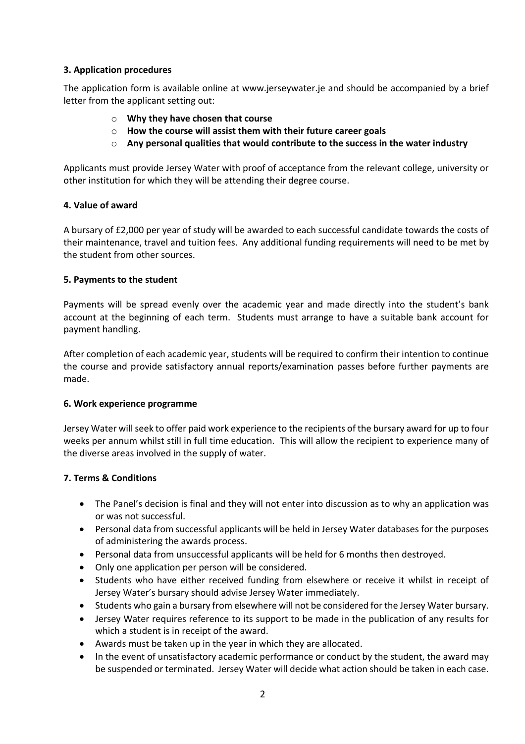## **3. Application procedures**

The application form is available online at www.jerseywater.je and should be accompanied by a brief letter from the applicant setting out:

- o **Why they have chosen that course**
- o **How the course will assist them with their future career goals**
- o **Any personal qualities that would contribute to the success in the water industry**

Applicants must provide Jersey Water with proof of acceptance from the relevant college, university or other institution for which they will be attending their degree course.

## **4. Value of award**

A bursary of £2,000 per year of study will be awarded to each successful candidate towards the costs of their maintenance, travel and tuition fees. Any additional funding requirements will need to be met by the student from other sources.

## **5. Payments to the student**

Payments will be spread evenly over the academic year and made directly into the student's bank account at the beginning of each term. Students must arrange to have a suitable bank account for payment handling.

After completion of each academic year, students will be required to confirm their intention to continue the course and provide satisfactory annual reports/examination passes before further payments are made.

## **6. Work experience programme**

Jersey Water will seek to offer paid work experience to the recipients of the bursary award for up to four weeks per annum whilst still in full time education. This will allow the recipient to experience many of the diverse areas involved in the supply of water.

## **7. Terms & Conditions**

- The Panel's decision is final and they will not enter into discussion as to why an application was or was not successful.
- Personal data from successful applicants will be held in Jersey Water databases for the purposes of administering the awards process.
- Personal data from unsuccessful applicants will be held for 6 months then destroyed.
- Only one application per person will be considered.
- Students who have either received funding from elsewhere or receive it whilst in receipt of Jersey Water's bursary should advise Jersey Water immediately.
- Students who gain a bursary from elsewhere will not be considered for the Jersey Water bursary.
- Jersey Water requires reference to its support to be made in the publication of any results for which a student is in receipt of the award.
- Awards must be taken up in the year in which they are allocated.
- In the event of unsatisfactory academic performance or conduct by the student, the award may be suspended or terminated. Jersey Water will decide what action should be taken in each case.